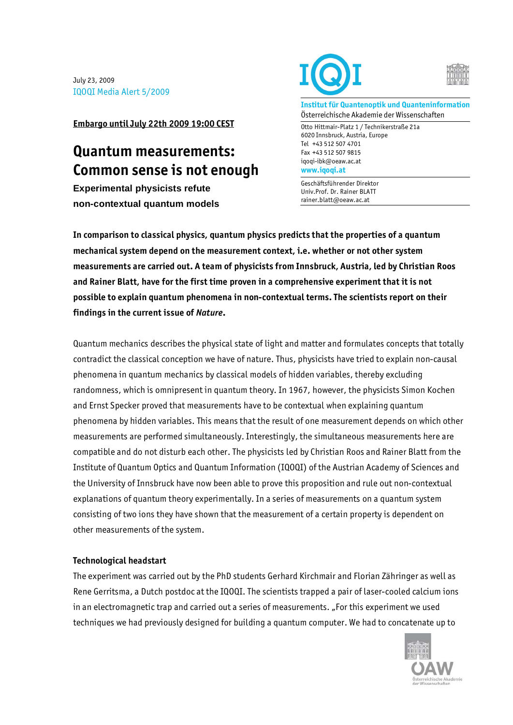July 23, 2009 IQOQI Media Alert 5/2009

**Embargo until July 22th 2009 19:00 CEST**

## **Quantum measurements: Common sense is not enough**

**Experimental physicists refute non-contextual quantum models**





**Institut für Quantenoptik und Quanteninformation**  Österreichische Akademie der Wissenschaften

Otto Hittmair-Platz 1 / Technikerstraße 21a 6020 Innsbruck, Austria, Europe Tel +43 512 507 4701 Fax +43 512 507 9815 iqoqi-ibk@oeaw.ac.at **www.iqoqi.at** 

Geschäftsführender Direktor Univ.Prof. Dr. Rainer BLATT rainer.blatt@oeaw.ac.at

**In comparison to classical physics, quantum physics predicts that the properties of a quantum mechanical system depend on the measurement context, i.e. whether or not other system measurements are carried out. A team of physicists from Innsbruck, Austria, led by Christian Roos and Rainer Blatt, have for the first time proven in a comprehensive experiment that it is not possible to explain quantum phenomena in non-contextual terms. The scientists report on their findings in the current issue of** *Nature***.** 

Quantum mechanics describes the physical state of light and matter and formulates concepts that totally contradict the classical conception we have of nature. Thus, physicists have tried to explain non-causal phenomena in quantum mechanics by classical models of hidden variables, thereby excluding randomness, which is omnipresent in quantum theory. In 1967, however, the physicists Simon Kochen and Ernst Specker proved that measurements have to be contextual when explaining quantum phenomena by hidden variables. This means that the result of one measurement depends on which other measurements are performed simultaneously. Interestingly, the simultaneous measurements here are compatible and do not disturb each other. The physicists led by Christian Roos and Rainer Blatt from the Institute of Quantum Optics and Quantum Information (IQOQI) of the Austrian Academy of Sciences and the University of Innsbruck have now been able to prove this proposition and rule out non-contextual explanations of quantum theory experimentally. In a series of measurements on a quantum system consisting of two ions they have shown that the measurement of a certain property is dependent on other measurements of the system.

## **Technological headstart**

The experiment was carried out by the PhD students Gerhard Kirchmair and Florian Zähringer as well as Rene Gerritsma, a Dutch postdoc at the IQOQI. The scientists trapped a pair of laser-cooled calcium ions in an electromagnetic trap and carried out a series of measurements. "For this experiment we used techniques we had previously designed for building a quantum computer. We had to concatenate up to